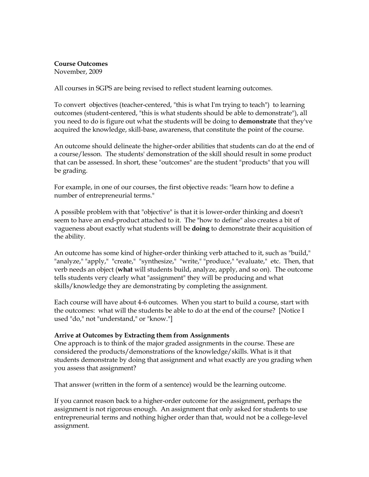## Course Outcomes

November, 2009

All courses in SGPS are being revised to reflect student learning outcomes.

To convert objectives (teacher-centered, "this is what I'm trying to teach") to learning outcomes (student-centered, "this is what students should be able to demonstrate"), all you need to do is figure out what the students will be doing to **demonstrate** that they've acquired the knowledge, skill-base, awareness, that constitute the point of the course.

An outcome should delineate the higher-order abilities that students can do at the end of a course/lesson. The students' demonstration of the skill should result in some product that can be assessed. In short, these "outcomes" are the student "products" that you will be grading.

For example, in one of our courses, the first objective reads: "learn how to define a number of entrepreneurial terms."

A possible problem with that "objective" is that it is lower-order thinking and doesn't seem to have an end-product attached to it. The "how to define" also creates a bit of vagueness about exactly what students will be doing to demonstrate their acquisition of the ability.

An outcome has some kind of higher-order thinking verb attached to it, such as "build," "analyze," "apply," "create," "synthesize," "write," "produce," "evaluate," etc. Then, that verb needs an object (what will students build, analyze, apply, and so on). The outcome tells students very clearly what "assignment" they will be producing and what skills/knowledge they are demonstrating by completing the assignment.

Each course will have about 4-6 outcomes. When you start to build a course, start with the outcomes: what will the students be able to do at the end of the course? [Notice I used "do," not "understand," or "know."]

## Arrive at Outcomes by Extracting them from Assignments

One approach is to think of the major graded assignments in the course. These are considered the products/demonstrations of the knowledge/skills. What is it that students demonstrate by doing that assignment and what exactly are you grading when you assess that assignment?

That answer (written in the form of a sentence) would be the learning outcome.

If you cannot reason back to a higher-order outcome for the assignment, perhaps the assignment is not rigorous enough. An assignment that only asked for students to use entrepreneurial terms and nothing higher order than that, would not be a college-level assignment.